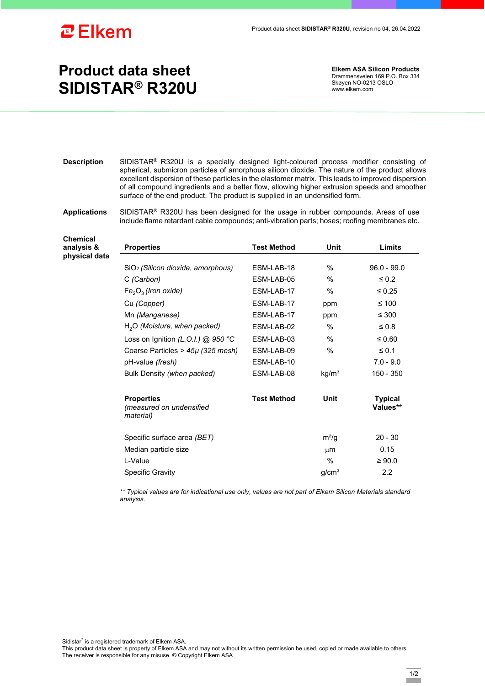

## **Product data sheet SIDISTAR® R320U**

**Elkem ASA Silicon Products**  Drammensveien 169 P.O. Box 334 Skøyen NO-0213 OSLO www.elkem.com

- **Description** SIDISTAR® R320U is a specially designed light-coloured process modifier consisting of spherical, submicron particles of amorphous silicon dioxide. The nature of the product allows excellent dispersion of these particles in the elastomer matrix. This leads to improved dispersion of all compound ingredients and a better flow, allowing higher extrusion speeds and smoother surface of the end product. The product is supplied in an undensified form.
- **Applications** SIDISTAR® R320U has been designed for the usage in rubber compounds. Areas of use include flame retardant cable compounds; anti-vibration parts; hoses; roofing membranes etc.

**Chemical analysis & physical data** 

| <b>Properties</b>                                          | <b>Test Method</b> | Unit              | Limits                     |
|------------------------------------------------------------|--------------------|-------------------|----------------------------|
|                                                            |                    |                   |                            |
| SiO <sub>2</sub> (Silicon dioxide, amorphous)              | ESM-LAB-18         | $\%$              | $96.0 - 99.0$              |
| C (Carbon)                                                 | ESM-LAB-05         | %                 | $\leq 0.2$                 |
| $Fe2O3$ (Iron oxide)                                       | ESM-LAB-17         | $\%$              | $\leq 0.25$                |
| Cu (Copper)                                                | ESM-LAB-17         | ppm               | ≤ 100                      |
| Mn (Manganese)                                             | ESM-LAB-17         | ppm               | ≤ 300                      |
| $H2O$ (Moisture, when packed)                              | ESM-LAB-02         | $\frac{0}{0}$     | $\leq 0.8$                 |
| Loss on Ignition (L.O.I.) @ 950 °C                         | ESM-LAB-03         | $\%$              | ≤ 0.60                     |
| Coarse Particles > 45µ (325 mesh)                          | ESM-LAB-09         | $\frac{0}{0}$     | $\leq 0.1$                 |
| pH-value (fresh)                                           | ESM-LAB-10         |                   | $7.0 - 9.0$                |
| Bulk Density (when packed)                                 | ESM-LAB-08         | kg/m <sup>3</sup> | 150 - 350                  |
| <b>Properties</b><br>(measured on undensified<br>material) | <b>Test Method</b> | Unit              | <b>Typical</b><br>Values** |
| Specific surface area (BET)                                |                    | $m^2/g$           | $20 - 30$                  |
| Median particle size                                       |                    | $\mu$ m           | 0.15                       |
| L-Value                                                    |                    | $\%$              | $\geq 90.0$                |
| <b>Specific Gravity</b>                                    |                    | g/cm <sup>3</sup> | $2.2\,$                    |

*\*\* Typical values are for indicational use only, values are not part of Elkem Silicon Materials standard analysis.* 

Sidistar® is a registered trademark of Elkem ASA.

This product data sheet is property of Elkem ASA and may not without its written permission be used, copied or made available to others. The receiver is responsible for any misuse. © Copyright Elkem ASA